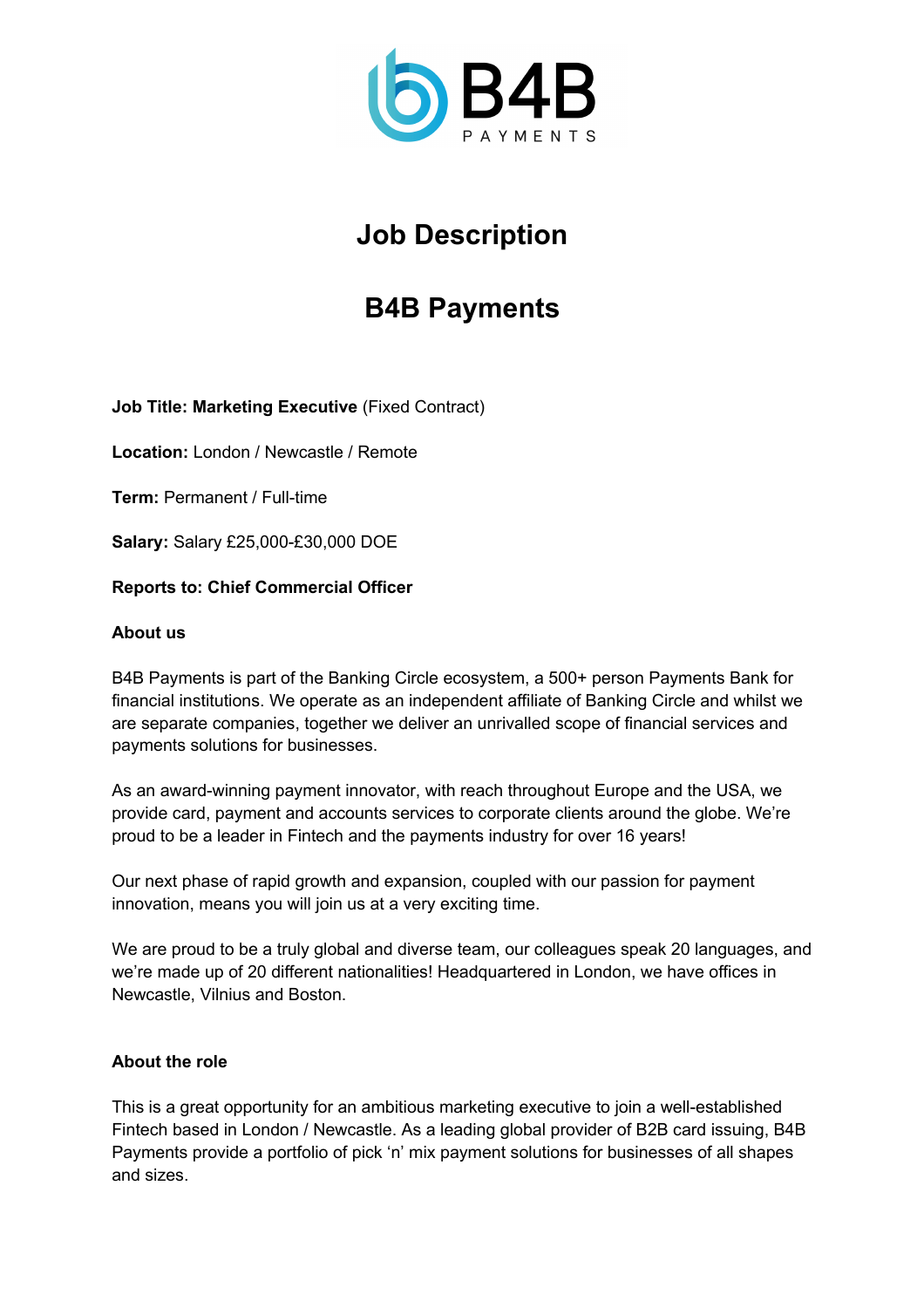

# **Job Description**

## **B4B Payments**

**Job Title: Marketing Executive** (Fixed Contract)

**Location:** London / Newcastle / Remote

**Term:** Permanent / Full-time

**Salary:** Salary £25,000-£30,000 DOE

## **Reports to: Chief Commercial Officer**

#### **About us**

B4B Payments is part of the Banking Circle ecosystem, a 500+ person Payments Bank for financial institutions. We operate as an independent affiliate of Banking Circle and whilst we are separate companies, together we deliver an unrivalled scope of financial services and payments solutions for businesses.

As an award-winning payment innovator, with reach throughout Europe and the USA, we provide card, payment and accounts services to corporate clients around the globe. We're proud to be a leader in Fintech and the payments industry for over 16 years!

Our next phase of rapid growth and expansion, coupled with our passion for payment innovation, means you will join us at a very exciting time.

We are proud to be a truly global and diverse team, our colleagues speak 20 languages, and we're made up of 20 different nationalities! Headquartered in London, we have offices in Newcastle, Vilnius and Boston.

#### **About the role**

This is a great opportunity for an ambitious marketing executive to join a well-established Fintech based in London / Newcastle. As a leading global provider of B2B card issuing, B4B Payments provide a portfolio of pick 'n' mix payment solutions for businesses of all shapes and sizes.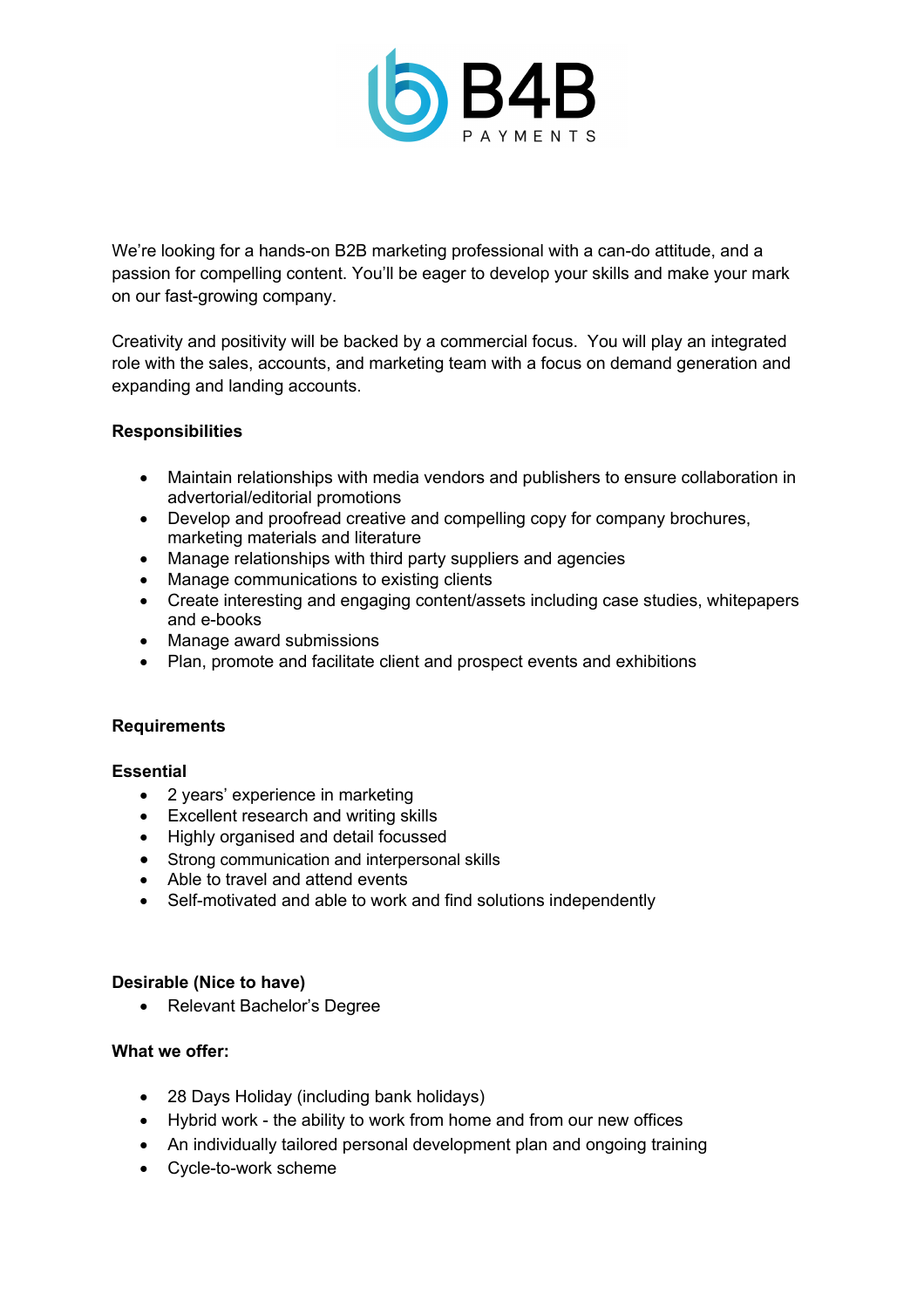

We're looking for a hands-on B2B marketing professional with a can-do attitude, and a passion for compelling content. You'll be eager to develop your skills and make your mark on our fast-growing company.

Creativity and positivity will be backed by a commercial focus. You will play an integrated role with the sales, accounts, and marketing team with a focus on demand generation and expanding and landing accounts.

## **Responsibilities**

- Maintain relationships with media vendors and publishers to ensure collaboration in advertorial/editorial promotions
- Develop and proofread creative and compelling copy for company brochures, marketing materials and literature
- Manage relationships with third party suppliers and agencies
- Manage communications to existing clients
- Create interesting and engaging content/assets including case studies, whitepapers and e-books
- Manage award submissions
- Plan, promote and facilitate client and prospect events and exhibitions

#### **Requirements**

#### **Essential**

- 2 years' experience in marketing
- Excellent research and writing skills
- Highly organised and detail focussed
- Strong communication and interpersonal skills
- Able to travel and attend events
- Self-motivated and able to work and find solutions independently

#### **Desirable (Nice to have)**

• Relevant Bachelor's Degree

#### **What we offer:**

- 28 Days Holiday (including bank holidays)
- Hybrid work the ability to work from home and from our new offices
- An individually tailored personal development plan and ongoing training
- Cycle-to-work scheme